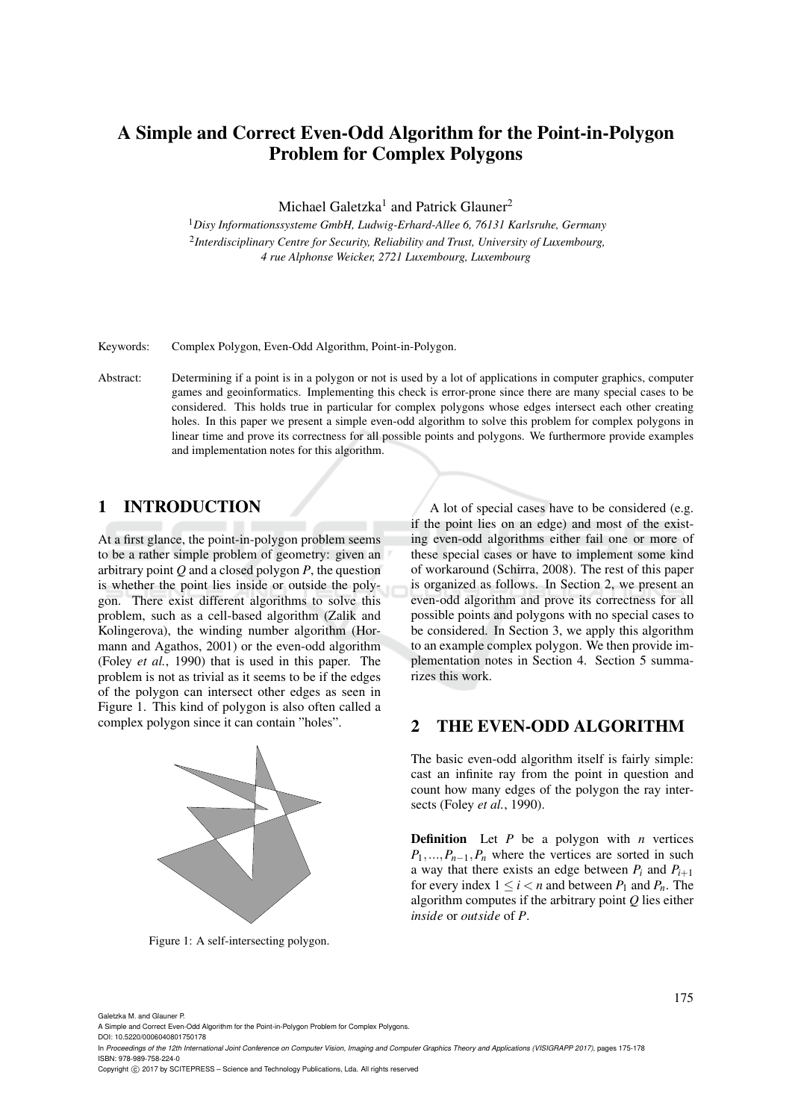# A Simple and Correct Even-Odd Algorithm for the Point-in-Polygon Problem for Complex Polygons

Michael Galetzka<sup>1</sup> and Patrick Glauner<sup>2</sup>

<sup>1</sup>*Disy Informationssysteme GmbH, Ludwig-Erhard-Allee 6, 76131 Karlsruhe, Germany* 2 *Interdisciplinary Centre for Security, Reliability and Trust, University of Luxembourg, 4 rue Alphonse Weicker, 2721 Luxembourg, Luxembourg*

Keywords: Complex Polygon, Even-Odd Algorithm, Point-in-Polygon.

Abstract: Determining if a point is in a polygon or not is used by a lot of applications in computer graphics, computer games and geoinformatics. Implementing this check is error-prone since there are many special cases to be considered. This holds true in particular for complex polygons whose edges intersect each other creating holes. In this paper we present a simple even-odd algorithm to solve this problem for complex polygons in linear time and prove its correctness for all possible points and polygons. We furthermore provide examples and implementation notes for this algorithm.

# 1 INTRODUCTION

At a first glance, the point-in-polygon problem seems to be a rather simple problem of geometry: given an arbitrary point *Q* and a closed polygon *P*, the question is whether the point lies inside or outside the polygon. There exist different algorithms to solve this problem, such as a cell-based algorithm (Zalik and Kolingerova), the winding number algorithm (Hormann and Agathos, 2001) or the even-odd algorithm (Foley *et al.*, 1990) that is used in this paper. The problem is not as trivial as it seems to be if the edges of the polygon can intersect other edges as seen in Figure 1. This kind of polygon is also often called a complex polygon since it can contain "holes".



Figure 1: A self-intersecting polygon.

A lot of special cases have to be considered (e.g. if the point lies on an edge) and most of the existing even-odd algorithms either fail one or more of these special cases or have to implement some kind of workaround (Schirra, 2008). The rest of this paper is organized as follows. In Section 2, we present an even-odd algorithm and prove its correctness for all possible points and polygons with no special cases to be considered. In Section 3, we apply this algorithm to an example complex polygon. We then provide implementation notes in Section 4. Section 5 summarizes this work.

### 2 THE EVEN-ODD ALGORITHM

The basic even-odd algorithm itself is fairly simple: cast an infinite ray from the point in question and count how many edges of the polygon the ray intersects (Foley *et al.*, 1990).

**Definition** Let  $P$  be a polygon with  $n$  vertices  $P_1, \ldots, P_{n-1}, P_n$  where the vertices are sorted in such a way that there exists an edge between  $P_i$  and  $P_{i+1}$ for every index  $1 \leq i < n$  and between  $P_1$  and  $P_n$ . The algorithm computes if the arbitrary point *Q* lies either *inside* or *outside* of *P*.

Galetzka M. and Glauner P.

A Simple and Correct Even-Odd Algorithm for the Point-in-Polygon Problem for Complex Polygons.

DOI: 10.5220/0006040801750178 In *Proceedings of the 12th International Joint Conference on Computer Vision, Imaging and Computer Graphics Theory and Applications (VISIGRAPP 2017)*, pages 175-178 ISBN: 978-989-758-224-0

Copyright (C) 2017 by SCITEPRESS - Science and Technology Publications, Lda. All rights reserved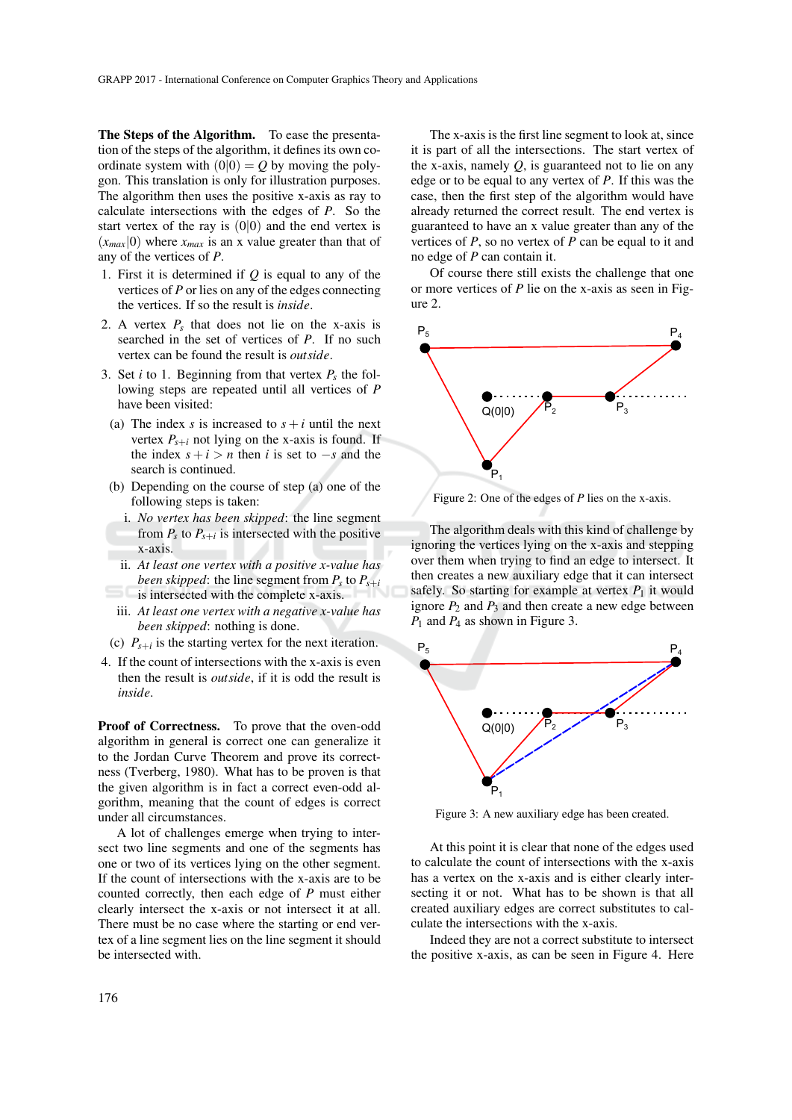The Steps of the Algorithm. To ease the presentation of the steps of the algorithm, it defines its own coordinate system with  $(0|0) = Q$  by moving the polygon. This translation is only for illustration purposes. The algorithm then uses the positive x-axis as ray to calculate intersections with the edges of *P*. So the start vertex of the ray is  $(0|0)$  and the end vertex is  $(x_{max}|0)$  where  $x_{max}$  is an x value greater than that of any of the vertices of *P*.

- 1. First it is determined if *Q* is equal to any of the vertices of *P* or lies on any of the edges connecting the vertices. If so the result is *inside*.
- 2. A vertex  $P_s$  that does not lie on the x-axis is searched in the set of vertices of *P*. If no such vertex can be found the result is *outside*.
- 3. Set *i* to 1. Beginning from that vertex  $P_s$  the following steps are repeated until all vertices of *P* have been visited:
- (a) The index *s* is increased to  $s + i$  until the next vertex  $P_{s+i}$  not lying on the x-axis is found. If the index  $s + i > n$  then *i* is set to  $-s$  and the search is continued.
- (b) Depending on the course of step (a) one of the following steps is taken:
	- i. *No vertex has been skipped*: the line segment from  $P_s$  to  $P_{s+i}$  is intersected with the positive x-axis.
	- ii. *At least one vertex with a positive x-value has been skipped*: the line segment from  $P_s$  to  $P_{s+i}$ is intersected with the complete x-axis.
- iii. *At least one vertex with a negative x-value has been skipped*: nothing is done.
- (c)  $P_{s+i}$  is the starting vertex for the next iteration.
- 4. If the count of intersections with the x-axis is even then the result is *outside*, if it is odd the result is *inside*.

Proof of Correctness. To prove that the oven-odd algorithm in general is correct one can generalize it to the Jordan Curve Theorem and prove its correctness (Tverberg, 1980). What has to be proven is that the given algorithm is in fact a correct even-odd algorithm, meaning that the count of edges is correct under all circumstances.

A lot of challenges emerge when trying to intersect two line segments and one of the segments has one or two of its vertices lying on the other segment. If the count of intersections with the x-axis are to be counted correctly, then each edge of *P* must either clearly intersect the x-axis or not intersect it at all. There must be no case where the starting or end vertex of a line segment lies on the line segment it should be intersected with.

The x-axis is the first line segment to look at, since it is part of all the intersections. The start vertex of the x-axis, namely *Q*, is guaranteed not to lie on any edge or to be equal to any vertex of *P*. If this was the case, then the first step of the algorithm would have already returned the correct result. The end vertex is guaranteed to have an x value greater than any of the vertices of *P*, so no vertex of *P* can be equal to it and no edge of *P* can contain it.

Of course there still exists the challenge that one or more vertices of *P* lie on the x-axis as seen in Figure 2.



Figure 2: One of the edges of *P* lies on the x-axis.

The algorithm deals with this kind of challenge by ignoring the vertices lying on the x-axis and stepping over them when trying to find an edge to intersect. It then creates a new auxiliary edge that it can intersect safely. So starting for example at vertex  $P_1$  it would ignore  $P_2$  and  $P_3$  and then create a new edge between *P*<sup>1</sup> and *P*<sup>4</sup> as shown in Figure 3.



Figure 3: A new auxiliary edge has been created.

At this point it is clear that none of the edges used to calculate the count of intersections with the x-axis has a vertex on the x-axis and is either clearly intersecting it or not. What has to be shown is that all created auxiliary edges are correct substitutes to calculate the intersections with the x-axis.

Indeed they are not a correct substitute to intersect the positive x-axis, as can be seen in Figure 4. Here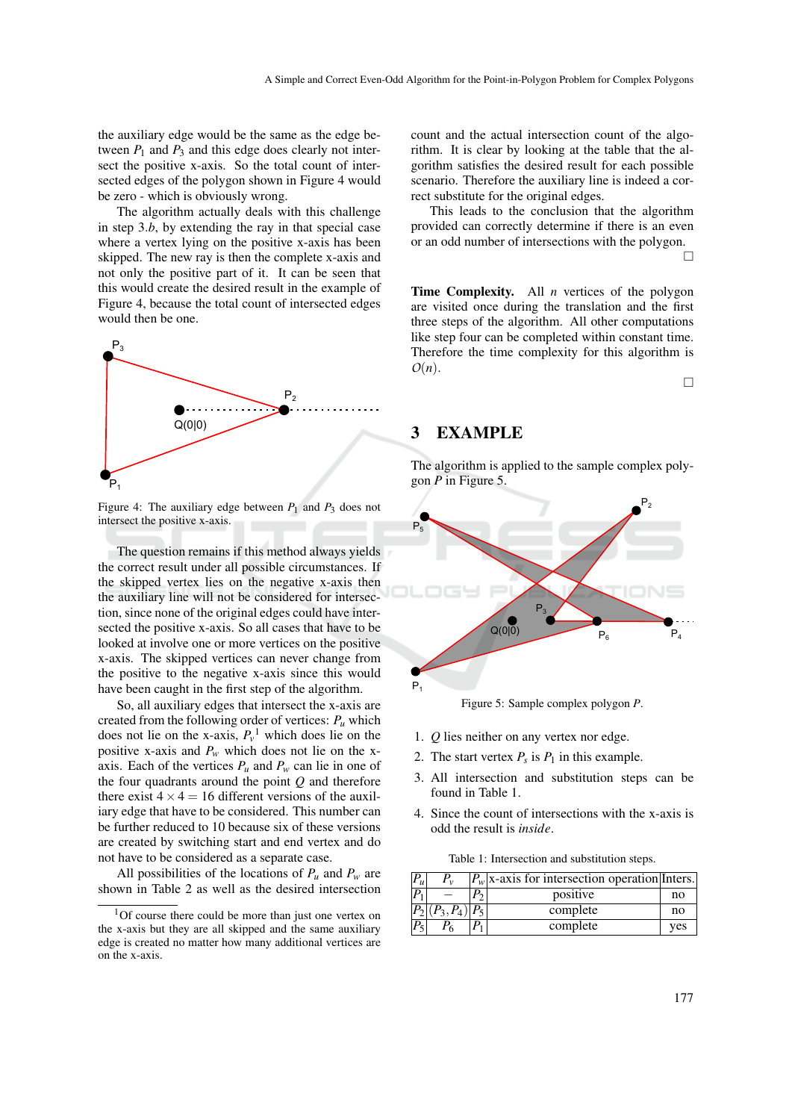the auxiliary edge would be the same as the edge between  $P_1$  and  $P_3$  and this edge does clearly not intersect the positive x-axis. So the total count of intersected edges of the polygon shown in Figure 4 would be zero - which is obviously wrong.

The algorithm actually deals with this challenge in step 3.*b*, by extending the ray in that special case where a vertex lying on the positive x-axis has been skipped. The new ray is then the complete x-axis and not only the positive part of it. It can be seen that this would create the desired result in the example of Figure 4, because the total count of intersected edges would then be one.



Figure 4: The auxiliary edge between  $P_1$  and  $P_3$  does not intersect the positive x-axis.

The question remains if this method always yields the correct result under all possible circumstances. If the skipped vertex lies on the negative x-axis then the auxiliary line will not be considered for intersection, since none of the original edges could have intersected the positive x-axis. So all cases that have to be looked at involve one or more vertices on the positive x-axis. The skipped vertices can never change from the positive to the negative x-axis since this would have been caught in the first step of the algorithm.

So, all auxiliary edges that intersect the x-axis are created from the following order of vertices:  $P_u$  which does not lie on the x-axis,  $P_v^1$  which does lie on the positive x-axis and  $P_w$  which does not lie on the xaxis. Each of the vertices  $P_\mu$  and  $P_\nu$  can lie in one of the four quadrants around the point *Q* and therefore there exist  $4 \times 4 = 16$  different versions of the auxiliary edge that have to be considered. This number can be further reduced to 10 because six of these versions are created by switching start and end vertex and do not have to be considered as a separate case.

All possibilities of the locations of  $P_u$  and  $P_w$  are shown in Table 2 as well as the desired intersection count and the actual intersection count of the algorithm. It is clear by looking at the table that the algorithm satisfies the desired result for each possible scenario. Therefore the auxiliary line is indeed a correct substitute for the original edges.

This leads to the conclusion that the algorithm provided can correctly determine if there is an even or an odd number of intersections with the polygon.  $\Box$ 

Time Complexity. All *n* vertices of the polygon are visited once during the translation and the first three steps of the algorithm. All other computations like step four can be completed within constant time. Therefore the time complexity for this algorithm is *O*(*n*).

 $\Box$ 

#### 3 EXAMPLE

The algorithm is applied to the sample complex polygon *P* in Figure 5.



Figure 5: Sample complex polygon *P*.

- 1. *Q* lies neither on any vertex nor edge.
- 2. The start vertex  $P_s$  is  $P_1$  in this example.
- 3. All intersection and substitution steps can be found in Table 1.
- 4. Since the count of intersections with the x-axis is odd the result is *inside*.

Table 1: Intersection and substitution steps.

| D<br>$\mathbf{u}$ |              | $ P_w $ x-axis for intersection operation Inters. |     |
|-------------------|--------------|---------------------------------------------------|-----|
| D                 |              | positive                                          | no  |
|                   | $P_3, P_4$ ) | complete                                          | no  |
| $P_{5}$           |              | complete                                          | ves |

 $1$ Of course there could be more than just one vertex on the x-axis but they are all skipped and the same auxiliary edge is created no matter how many additional vertices are on the x-axis.